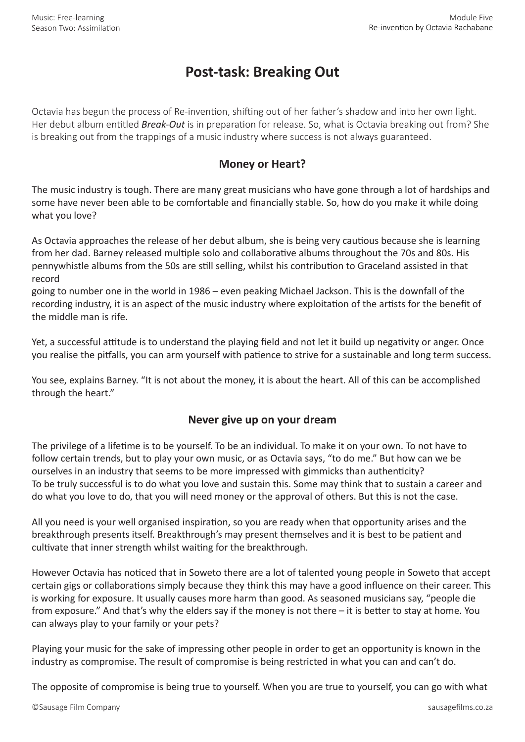## **Post-task: Breaking Out**

Octavia has begun the process of Re-invention, shifting out of her father's shadow and into her own light. Her debut album entitled *Break-Out* is in preparation for release. So, what is Octavia breaking out from? She is breaking out from the trappings of a music industry where success is not always guaranteed.

## **Money or Heart?**

The music industry is tough. There are many great musicians who have gone through a lot of hardships and some have never been able to be comfortable and financially stable. So, how do you make it while doing what you love?

As Octavia approaches the release of her debut album, she is being very cautious because she is learning from her dad. Barney released multiple solo and collaborative albums throughout the 70s and 80s. His pennywhistle albums from the 50s are still selling, whilst his contribution to Graceland assisted in that record

going to number one in the world in 1986 – even peaking Michael Jackson. This is the downfall of the recording industry, it is an aspect of the music industry where exploitation of the artists for the benefit of the middle man is rife.

Yet, a successful attitude is to understand the playing field and not let it build up negativity or anger. Once you realise the pitfalls, you can arm yourself with patience to strive for a sustainable and long term success.

You see, explains Barney. "It is not about the money, it is about the heart. All of this can be accomplished through the heart."

## **Never give up on your dream**

The privilege of a lifetime is to be yourself. To be an individual. To make it on your own. To not have to follow certain trends, but to play your own music, or as Octavia says, "to do me." But how can we be ourselves in an industry that seems to be more impressed with gimmicks than authenticity? To be truly successful is to do what you love and sustain this. Some may think that to sustain a career and do what you love to do, that you will need money or the approval of others. But this is not the case.

All you need is your well organised inspiration, so you are ready when that opportunity arises and the breakthrough presents itself. Breakthrough's may present themselves and it is best to be patient and cultivate that inner strength whilst waiting for the breakthrough.

However Octavia has noticed that in Soweto there are a lot of talented young people in Soweto that accept certain gigs or collaborations simply because they think this may have a good influence on their career. This is working for exposure. It usually causes more harm than good. As seasoned musicians say, "people die from exposure." And that's why the elders say if the money is not there – it is better to stay at home. You can always play to your family or your pets?

Playing your music for the sake of impressing other people in order to get an opportunity is known in the industry as compromise. The result of compromise is being restricted in what you can and can't do.

The opposite of compromise is being true to yourself. When you are true to yourself, you can go with what